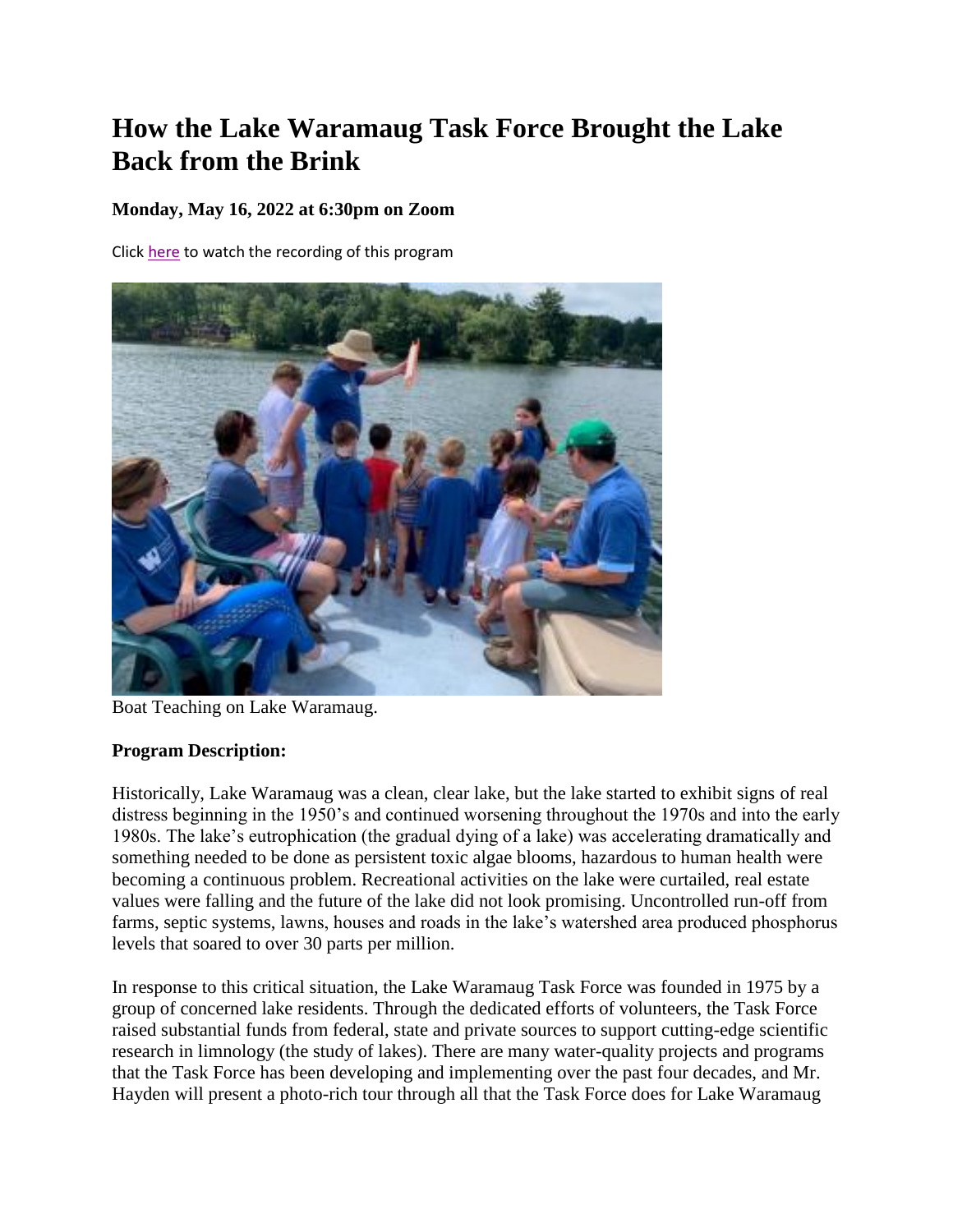## **How the Lake Waramaug Task Force Brought the Lake Back from the Brink**

## **Monday, May 16, 2022 at 6:30pm on Zoom**

Click [here](https://youtu.be/dNPh8Mz4TcE) to watch the recording of this program



Boat Teaching on Lake Waramaug.

## **Program Description:**

Historically, Lake Waramaug was a clean, clear lake, but the lake started to exhibit signs of real distress beginning in the 1950's and continued worsening throughout the 1970s and into the early 1980s. The lake's eutrophication (the gradual dying of a lake) was accelerating dramatically and something needed to be done as persistent toxic algae blooms, hazardous to human health were becoming a continuous problem. Recreational activities on the lake were curtailed, real estate values were falling and the future of the lake did not look promising. Uncontrolled run-off from farms, septic systems, lawns, houses and roads in the lake's watershed area produced phosphorus levels that soared to over 30 parts per million.

In response to this critical situation, the Lake Waramaug Task Force was founded in 1975 by a group of concerned lake residents. Through the dedicated efforts of volunteers, the Task Force raised substantial funds from federal, state and private sources to support cutting-edge scientific research in limnology (the study of lakes). There are many water-quality projects and programs that the Task Force has been developing and implementing over the past four decades, and Mr. Hayden will present a photo-rich tour through all that the Task Force does for Lake Waramaug